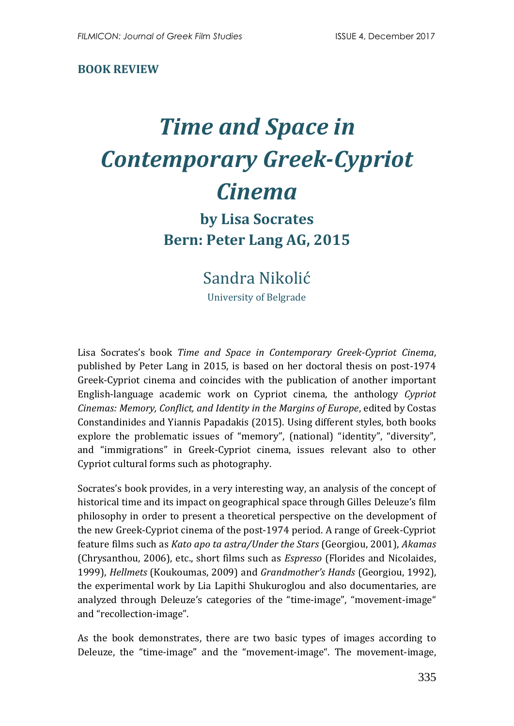#### **BOOK REVIEW**

# *Time and Space in Contemporary Greek-Cypriot Cinema*

## **by Lisa Socrates Bern: Peter Lang AG, 2015**

### Sandra Nikolić

University of Belgrade

Lisa Socrates's book *Time and Space in Contemporary Greek-Cypriot Cinema*, published by Peter Lang in 2015, is based on her doctoral thesis on post-1974 Greek-Cypriot cinema and coincides with the publication of another important English-language academic work on Cypriot cinema, the anthology *Cypriot Cinemas: Memory, Conflict, and Identity in the Margins of Europe*, edited by Costas Constandinides and Yiannis Papadakis (2015). Using different styles, both books explore the problematic issues of "memory", (national) "identity", "diversity", and "immigrations" in Greek-Cypriot cinema, issues relevant also to other Cypriot cultural forms such as photography.

Socrates's book provides, in a very interesting way, an analysis of the concept of historical time and its impact on geographical space through Gilles Deleuze's film philosophy in order to present a theoretical perspective on the development of the new Greek-Cypriot cinema of the post-1974 period. A range of Greek-Cypriot feature films such as *Kato apo ta astra/Under the Stars* (Georgiou, 2001), *Akamas* (Chrysanthou, 2006), etc., short films such as *Espresso* (Florides and Nicolaides, 1999), *Hellmets* (Koukoumas, 2009) and *Grandmother's Hands* (Georgiou, 1992), the experimental work by Lia Lapithi Shukuroglou and also documentaries, are analyzed through Deleuze's categories of the "time-image", "movement-image" and "recollection-image".

As the book demonstrates, there are two basic types of images according to Deleuze, the "time-image" and the "movement-image". The movement-image,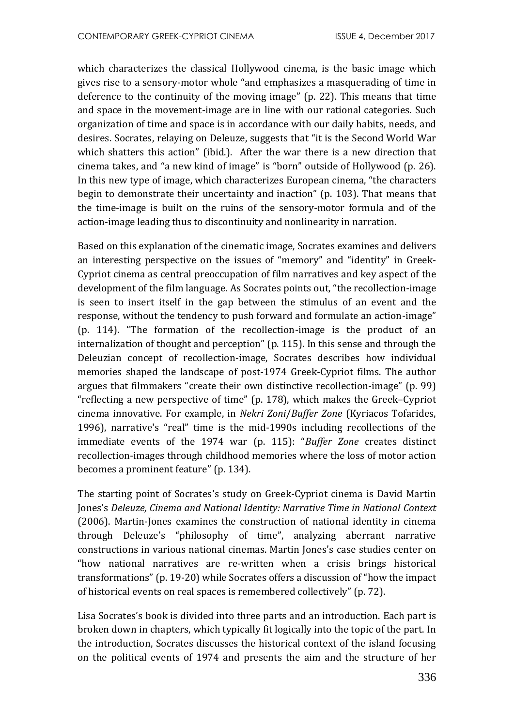which characterizes the classical Hollywood cinema, is the basic image which gives rise to a sensory-motor whole "and emphasizes a masquerading of time in deference to the continuity of the moving image" (p. 22). This means that time and space in the movement-image are in line with our rational categories. Such organization of time and space is in accordance with our daily habits, needs, and desires. Socrates, relaying on Deleuze, suggests that "it is the Second World War which shatters this action" (ibid.). After the war there is a new direction that cinema takes, and "a new kind of image" is "born" outside of Hollywood (p. 26). In this new type of image, which characterizes European cinema, "the characters begin to demonstrate their uncertainty and inaction" (p. 103). That means that the time-image is built on the ruins of the sensory-motor formula and of the action-image leading thus to discontinuity and nonlinearity in narration.

Based on this explanation of the cinematic image, Socrates examines and delivers an interesting perspective on the issues of "memory" and "identity" in Greek-Cypriot cinema as central preoccupation of film narratives and key aspect of the development of the film language. As Socrates points out, "the recollection-image is seen to insert itself in the gap between the stimulus of an event and the response, without the tendency to push forward and formulate an action-image" (p. 114). "The formation of the recollection-image is the product of an internalization of thought and perception" (p. 115). In this sense and through the Deleuzian concept of recollection-image, Socrates describes how individual memories shaped the landscape of post-1974 Greek-Cypriot films. The author argues that filmmakers "create their own distinctive recollection-image" (p. 99) "reflecting a new perspective of time" (p. 178), which makes the Greek–Cypriot cinema innovative. For example, in *Nekri Zoni*/*Buffer Zone* (Kyriacos Tofarides, 1996), narrative's "real" time is the mid-1990s including recollections of the immediate events of the 1974 war (p. 115): "*Buffer Zone* creates distinct recollection-images through childhood memories where the loss of motor action becomes a prominent feature" (p. 134).

The starting point of Socrates's study on Greek-Cypriot cinema is David Martin Jones's *Deleuze, Cinema and National Identity: Narrative Time in National Context* (2006). Martin-Jones examines the construction of national identity in cinema through Deleuze's "philosophy of time", analyzing aberrant narrative constructions in various national cinemas. Martin Jones's case studies center on "how national narratives are re-written when a crisis brings historical transformations" (p. 19-20) while Socrates offers a discussion of "how the impact of historical events on real spaces is remembered collectively" (p. 72).

Lisa Socrates's book is divided into three parts and an introduction. Each part is broken down in chapters, which typically fit logically into the topic of the part. In the introduction, Socrates discusses the historical context of the island focusing on the political events of 1974 and presents the aim and the structure of her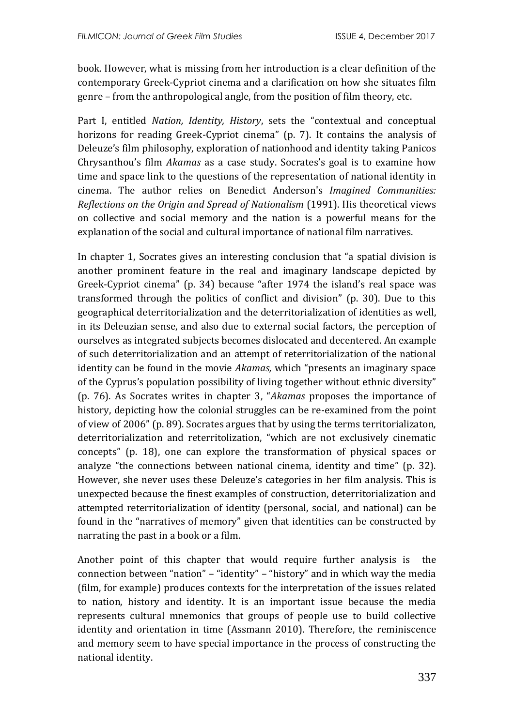book. However, what is missing from her introduction is a clear definition of the contemporary Greek-Cypriot cinema and a clarification on how she situates film genre – from the anthropological angle, from the position of film theory, etc.

Part I, entitled *Nation, Identity, History*, sets the "contextual and conceptual horizons for reading Greek-Cypriot cinema" (p. 7). It contains the analysis of Deleuze's film philosophy, exploration of nationhood and identity taking Panicos Chrysanthou's film *Akamas* as a case study. Socrates's goal is to examine how time and space link to the questions of the representation of national identity in cinema. The author relies on Benedict Anderson's *Imagined Communities: Reflections on the Origin and Spread of Nationalism* (1991). His theoretical views on collective and social memory and the nation is a powerful means for the explanation of the social and cultural importance of national film narratives.

In chapter 1, Socrates gives an interesting conclusion that "a spatial division is another prominent feature in the real and imaginary landscape depicted by Greek-Cypriot cinema" (p. 34) because "after 1974 the island's real space was transformed through the politics of conflict and division" (p. 30). Due to this geographical deterritorialization and the deterritorialization of identities as well, in its Deleuzian sense, and also due to external social factors, the perception of ourselves as integrated subjects becomes dislocated and decentered. An example of such deterritorialization and an attempt of reterritorialization of the national identity can be found in the movie *Akamas,* which "presents an imaginary space of the Cyprus's population possibility of living together without ethnic diversity" (p. 76). As Socrates writes in chapter 3, "*Akamas* proposes the importance of history, depicting how the colonial struggles can be re-examined from the point of view of 2006" (p. 89). Socrates argues that by using the terms territorializaton, deterritorialization and reterritolization, "which are not exclusively cinematic concepts" (p. 18), one can explore the transformation of physical spaces or analyze "the connections between national cinema, identity and time" (p. 32). However, she never uses these Deleuze's categories in her film analysis. This is unexpected because the finest examples of construction, deterritorialization and attempted reterritorialization of identity (personal, social, and national) can be found in the "narratives of memory" given that identities can be constructed by narrating the past in a book or a film.

Another point of this chapter that would require further analysis is the connection between "nation" – "identity" – "history" and in which way the media (film, for example) produces contexts for the interpretation of the issues related to nation, history and identity. It is an important issue because the media represents cultural mnemonics that groups of people use to build collective identity and orientation in time (Assmann 2010). Therefore, the reminiscence and memory seem to have special importance in the process of constructing the national identity.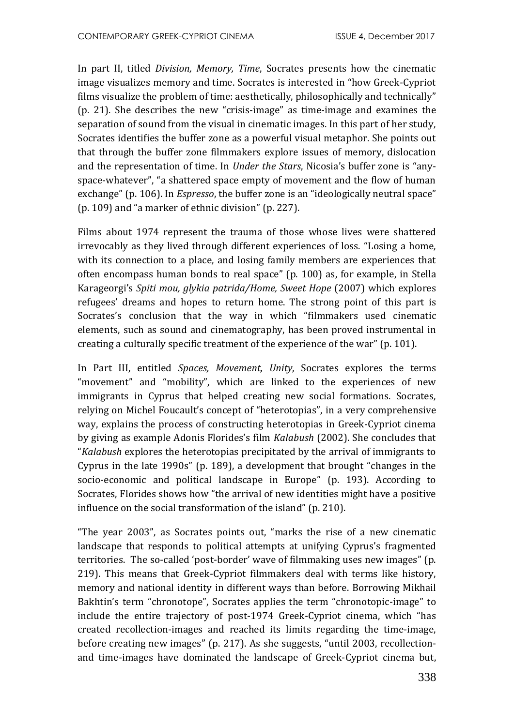In part II, titled *Division, Memory, Time*, Socrates presents how the cinematic image visualizes memory and time. Socrates is interested in "how Greek-Cypriot films visualize the problem of time: aesthetically, philosophically and technically" (p. 21). She describes the new "crisis-image" as time-image and examines the separation of sound from the visual in cinematic images. In this part of her study, Socrates identifies the buffer zone as a powerful visual metaphor. She points out that through the buffer zone filmmakers explore issues of memory, dislocation and the representation of time. In *Under the Stars*, Nicosia's buffer zone is "anyspace-whatever", "a shattered space empty of movement and the flow of human exchange" (p. 106). In *Espresso*, the buffer zone is an "ideologically neutral space" (p. 109) and "a marker of ethnic division" (p. 227).

Films about 1974 represent the trauma of those whose lives were shattered irrevocably as they lived through different experiences of loss. "Losing a home, with its connection to a place, and losing family members are experiences that often encompass human bonds to real space" (p. 100) as, for example, in Stella Karageorgi's *Spiti mou, glykia patrida/Home, Sweet Hope* (2007) which explores refugees' dreams and hopes to return home. The strong point of this part is Socrates's conclusion that the way in which "filmmakers used cinematic elements, such as sound and cinematography, has been proved instrumental in creating a culturally specific treatment of the experience of the war" (p. 101).

In Part III, entitled *Spaces, Movement, Unity*, Socrates explores the terms "movement" and "mobility", which are linked to the experiences of new immigrants in Cyprus that helped creating new social formations. Socrates, relying on Michel Foucault's concept of "heterotopias", in a very comprehensive way, explains the process of constructing heterotopias in Greek-Cypriot cinema by giving as example Adonis Florides's film *Kalabush* (2002). She concludes that "*Kalabush* explores the heterotopias precipitated by the arrival of immigrants to Cyprus in the late 1990s" (p. 189), a development that brought "changes in the socio-economic and political landscape in Europe" (p. 193). According to Socrates, Florides shows how "the arrival of new identities might have a positive influence on the social transformation of the island" (p. 210).

"The year 2003", as Socrates points out, "marks the rise of a new cinematic landscape that responds to political attempts at unifying Cyprus's fragmented territories. The so-called 'post-border' wave of filmmaking uses new images" (p. 219). This means that Greek-Cypriot filmmakers deal with terms like history, memory and national identity in different ways than before. Borrowing Mikhail Bakhtin's term "chronotope", Socrates applies the term "chronotopic-image" to include the entire trajectory of post-1974 Greek-Cypriot cinema, which "has created recollection-images and reached its limits regarding the time-image, before creating new images" (p. 217). As she suggests, "until 2003, recollectionand time-images have dominated the landscape of Greek-Cypriot cinema but,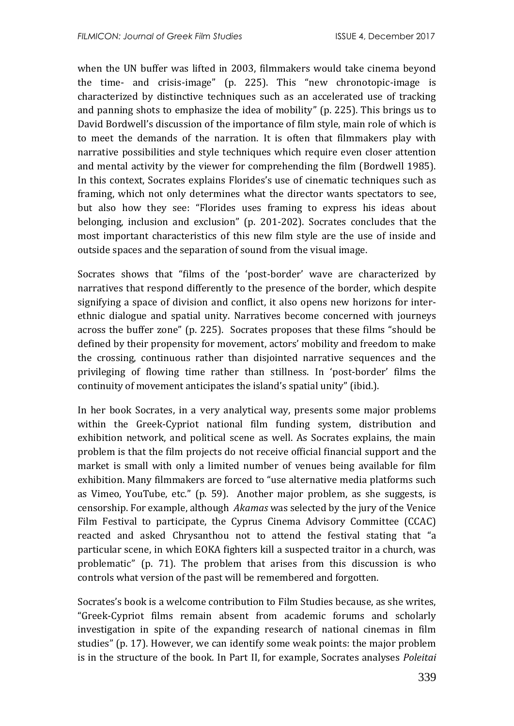when the UN buffer was lifted in 2003, filmmakers would take cinema beyond the time- and crisis-image" (p. 225). This "new chronotopic-image is characterized by distinctive techniques such as an accelerated use of tracking and panning shots to emphasize the idea of mobility" (p. 225). This brings us to David Bordwell's discussion of the importance of film style, main role of which is to meet the demands of the narration. It is often that filmmakers play with narrative possibilities and style techniques which require even closer attention and mental activity by the viewer for comprehending the film (Bordwell 1985). In this context, Socrates explains Florides's use of cinematic techniques such as framing, which not only determines what the director wants spectators to see, but also how they see: "Florides uses framing to express his ideas about belonging, inclusion and exclusion" (p. 201-202). Socrates concludes that the most important characteristics of this new film style are the use of inside and outside spaces and the separation of sound from the visual image.

Socrates shows that "films of the 'post-border' wave are characterized by narratives that respond differently to the presence of the border, which despite signifying a space of division and conflict, it also opens new horizons for interethnic dialogue and spatial unity. Narratives become concerned with journeys across the buffer zone" (p. 225). Socrates proposes that these films "should be defined by their propensity for movement, actors' mobility and freedom to make the crossing, continuous rather than disjointed narrative sequences and the privileging of flowing time rather than stillness. In 'post-border' films the continuity of movement anticipates the island's spatial unity" (ibid.).

In her book Socrates, in a very analytical way, presents some major problems within the Greek-Cypriot national film funding system, distribution and exhibition network, and political scene as well. As Socrates explains, the main problem is that the film projects do not receive official financial support and the market is small with only a limited number of venues being available for film exhibition. Many filmmakers are forced to "use alternative media platforms such as Vimeo, YouTube, etc." (p. 59). Another major problem, as she suggests, is censorship. For example, although *Akamas* was selected by the jury of the Venice Film Festival to participate, the Cyprus Cinema Advisory Committee (CCAC) reacted and asked Chrysanthou not to attend the festival stating that "a particular scene, in which EOKA fighters kill a suspected traitor in a church, was problematic" (p. 71). The problem that arises from this discussion is who controls what version of the past will be remembered and forgotten.

Socrates's book is a welcome contribution to Film Studies because, as she writes, "Greek-Cypriot films remain absent from academic forums and scholarly investigation in spite of the expanding research of national cinemas in film studies" (p. 17). However, we can identify some weak points: the major problem is in the structure of the book. In Part II, for example, Socrates analyses *Poleitai*